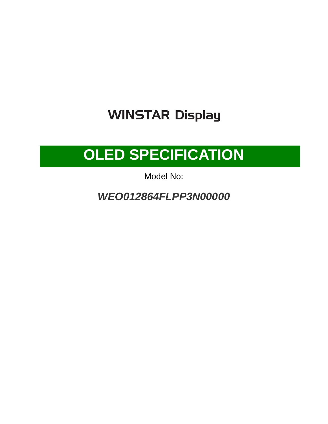# **WINSTAR Display**

# **OLED SPECIFICATION**

Model No:

*WEO012864FLPP3N00000*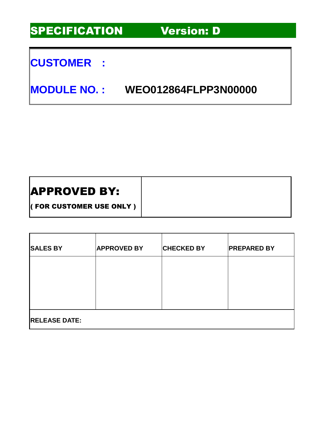SPECIFICATION Version: D

### **CUSTOMER :**

**MODULE NO. : WEO012864FLPP3N00000**

### APPROVED BY:

( FOR CUSTOMER USE ONLY )

| <b>SALES BY</b>      | <b>APPROVED BY</b> | <b>CHECKED BY</b> | <b>PREPARED BY</b> |
|----------------------|--------------------|-------------------|--------------------|
|                      |                    |                   |                    |
|                      |                    |                   |                    |
| <b>RELEASE DATE:</b> |                    |                   |                    |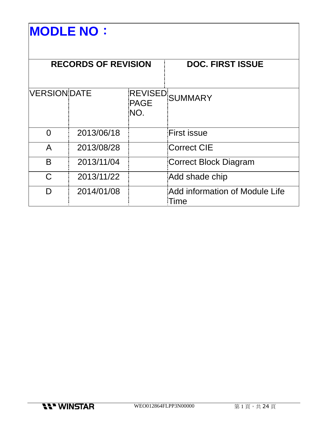# **MODLE NO**:

| <b>RECORDS OF REVISION</b> |            |                    | <b>DOC. FIRST ISSUE</b>                |
|----------------------------|------------|--------------------|----------------------------------------|
| <b>VERSION DATE</b>        |            | <b>PAGE</b><br>NO. | REVISED SUMMARY                        |
| 0                          | 2013/06/18 |                    | <b>First issue</b>                     |
| A                          | 2013/08/28 |                    | <b>Correct CIE</b>                     |
| B                          | 2013/11/04 |                    | Correct Block Diagram                  |
| C.                         | 2013/11/22 |                    | Add shade chip                         |
|                            | 2014/01/08 |                    | Add information of Module Life<br>Time |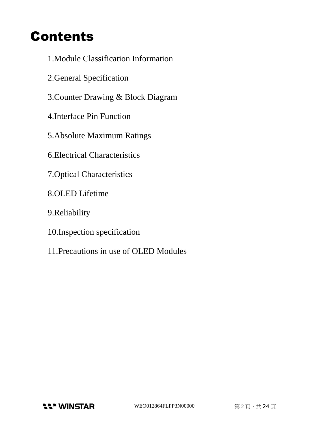# Contents

- 1.Module Classification Information
- 2.General Specification
- 3.Counter Drawing & Block Diagram
- 4.Interface Pin Function
- 5.Absolute Maximum Ratings
- 6.Electrical Characteristics
- 7.Optical Characteristics
- 8.OLED Lifetime
- 9.Reliability
- 10.Inspection specification
- 11.Precautions in use of OLED Modules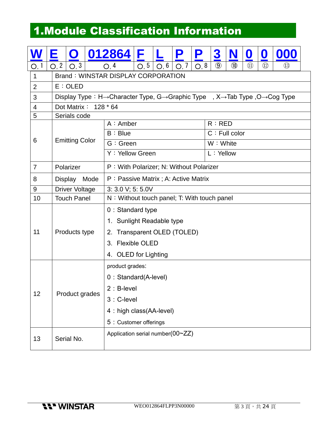## 1.Module Classification Information

|                |      | $\mathbf O$           | 012864 F                                                                                                                       |                                                                                                                  |  | P | P | 3                               | N | Û | O |  |
|----------------|------|-----------------------|--------------------------------------------------------------------------------------------------------------------------------|------------------------------------------------------------------------------------------------------------------|--|---|---|---------------------------------|---|---|---|--|
| O, 1           | O, 2 | O, 3                  | O, 4                                                                                                                           | $\circled{9}$<br>$\circledR$<br>O, 5<br>O, 6<br>O, 8<br>$\textcircled{\scriptsize{1}}$<br>$\circled{12}$<br>O, 7 |  |   |   | $\textcircled{\scriptsize{13}}$ |   |   |   |  |
| $\mathbf 1$    |      |                       | <b>Brand: WINSTAR DISPLAY CORPORATION</b>                                                                                      |                                                                                                                  |  |   |   |                                 |   |   |   |  |
| $\overline{2}$ |      | E:OLED                |                                                                                                                                |                                                                                                                  |  |   |   |                                 |   |   |   |  |
| 3              |      |                       | Display Type: H $\rightarrow$ Character Type, G $\rightarrow$ Graphic Type, X $\rightarrow$ Tab Type, O $\rightarrow$ Cog Type |                                                                                                                  |  |   |   |                                 |   |   |   |  |
| $\overline{4}$ |      | Dot Matrix: 128 * 64  |                                                                                                                                |                                                                                                                  |  |   |   |                                 |   |   |   |  |
| 5              |      | Serials code          |                                                                                                                                |                                                                                                                  |  |   |   |                                 |   |   |   |  |
|                |      |                       | $A:$ Amber                                                                                                                     |                                                                                                                  |  |   |   | R:RED                           |   |   |   |  |
| 6              |      | <b>Emitting Color</b> | B : Blue                                                                                                                       |                                                                                                                  |  |   |   | $C:$ Full color                 |   |   |   |  |
|                |      |                       | G: Green                                                                                                                       |                                                                                                                  |  |   |   | W: White                        |   |   |   |  |
|                |      |                       | Y: Yellow Green                                                                                                                |                                                                                                                  |  |   |   | L: Yellow                       |   |   |   |  |
| $\overline{7}$ |      | Polarizer             | P: With Polarizer; N: Without Polarizer                                                                                        |                                                                                                                  |  |   |   |                                 |   |   |   |  |
| 8              |      | Display Mode          | P: Passive Matrix; A: Active Matrix                                                                                            |                                                                                                                  |  |   |   |                                 |   |   |   |  |
| 9              |      | <b>Driver Voltage</b> | 3: 3.0 V; 5: 5.0V                                                                                                              |                                                                                                                  |  |   |   |                                 |   |   |   |  |
| 10             |      | <b>Touch Panel</b>    | N: Without touch panel; T: With touch panel                                                                                    |                                                                                                                  |  |   |   |                                 |   |   |   |  |
|                |      |                       | 0 : Standard type                                                                                                              |                                                                                                                  |  |   |   |                                 |   |   |   |  |
|                |      |                       | 1. Sunlight Readable type                                                                                                      |                                                                                                                  |  |   |   |                                 |   |   |   |  |
| 11             |      | Products type         | 2. Transparent OLED (TOLED)                                                                                                    |                                                                                                                  |  |   |   |                                 |   |   |   |  |
|                |      |                       |                                                                                                                                | 3. Flexible OLED                                                                                                 |  |   |   |                                 |   |   |   |  |
|                |      |                       | 4. OLED for Lighting                                                                                                           |                                                                                                                  |  |   |   |                                 |   |   |   |  |
|                |      |                       | product grades:                                                                                                                |                                                                                                                  |  |   |   |                                 |   |   |   |  |
|                |      |                       | 0 : Standard(A-level)                                                                                                          |                                                                                                                  |  |   |   |                                 |   |   |   |  |
| 12             |      |                       | $2: B$ -level                                                                                                                  |                                                                                                                  |  |   |   |                                 |   |   |   |  |
|                |      | Product grades        | 3 : C-level                                                                                                                    |                                                                                                                  |  |   |   |                                 |   |   |   |  |
|                |      |                       | 4 : high class(AA-level)                                                                                                       |                                                                                                                  |  |   |   |                                 |   |   |   |  |
|                |      |                       | 5 : Customer offerings                                                                                                         |                                                                                                                  |  |   |   |                                 |   |   |   |  |
| 13             |      | Serial No.            | Application serial number(00~ZZ)                                                                                               |                                                                                                                  |  |   |   |                                 |   |   |   |  |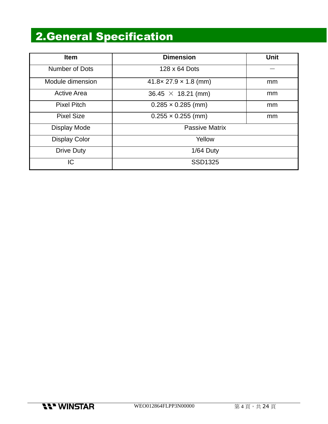## 2.General Specification

| <b>Item</b>          | <b>Dimension</b>                   | Unit |  |  |  |
|----------------------|------------------------------------|------|--|--|--|
| Number of Dots       | 128 x 64 Dots                      |      |  |  |  |
| Module dimension     | $41.8 \times 27.9 \times 1.8$ (mm) | mm   |  |  |  |
| <b>Active Area</b>   | $36.45 \times 18.21$ (mm)          | mm   |  |  |  |
| <b>Pixel Pitch</b>   | $0.285 \times 0.285$ (mm)          | mm   |  |  |  |
| <b>Pixel Size</b>    | $0.255 \times 0.255$ (mm)          | mm   |  |  |  |
| Display Mode         | <b>Passive Matrix</b>              |      |  |  |  |
| <b>Display Color</b> | Yellow                             |      |  |  |  |
| <b>Drive Duty</b>    | $1/64$ Duty                        |      |  |  |  |
| IC                   | SSD1325                            |      |  |  |  |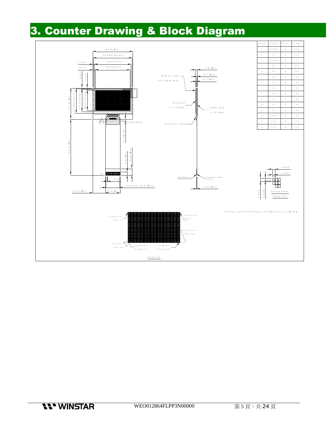# 3. Counter Drawing & Block Diagram

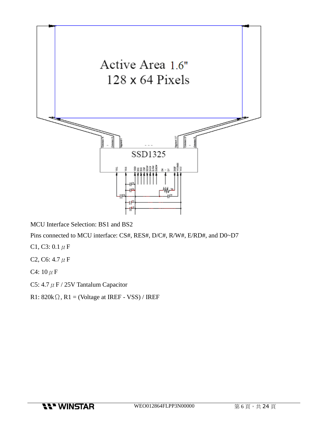

MCU Interface Selection: BS1 and BS2

Pins connected to MCU interface: CS#, RES#, D/C#, R/W#, E/RD#, and D0~D7

- C1, C3: 0.1  $\mu$  F
- C2, C6:  $4.7 \mu F$
- C4:  $10 \mu F$
- C5: 4.7  $\mu$  F / 25V Tantalum Capacitor
- R1:  $820k\Omega$ , R1 = (Voltage at IREF VSS) / IREF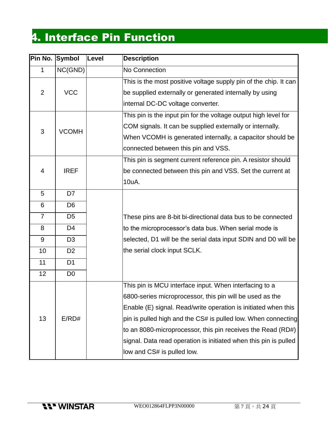# 4. Interface Pin Function

| Pin No. Symbol | Level        | <b>Description</b>                                               |
|----------------|--------------|------------------------------------------------------------------|
| NC(GND)        |              | No Connection                                                    |
|                |              | This is the most positive voltage supply pin of the chip. It can |
| <b>VCC</b>     |              | be supplied externally or generated internally by using          |
|                |              | internal DC-DC voltage converter.                                |
|                |              | This pin is the input pin for the voltage output high level for  |
|                |              | COM signals. It can be supplied externally or internally.        |
|                |              | When VCOMH is generated internally, a capacitor should be        |
|                |              | connected between this pin and VSS.                              |
|                |              | This pin is segment current reference pin. A resistor should     |
| <b>IREF</b>    |              | be connected between this pin and VSS. Set the current at        |
|                |              | 10uA.                                                            |
| D7             |              |                                                                  |
| D <sub>6</sub> |              |                                                                  |
| D <sub>5</sub> |              | These pins are 8-bit bi-directional data bus to be connected     |
| D <sub>4</sub> |              | to the microprocessor's data bus. When serial mode is            |
| D <sub>3</sub> |              | selected, D1 will be the serial data input SDIN and D0 will be   |
| D <sub>2</sub> |              | the serial clock input SCLK.                                     |
| D <sub>1</sub> |              |                                                                  |
| D <sub>0</sub> |              |                                                                  |
|                |              | This pin is MCU interface input. When interfacing to a           |
|                |              | 6800-series microprocessor, this pin will be used as the         |
|                |              | Enable (E) signal. Read/write operation is initiated when this   |
| E/RD#          |              | pin is pulled high and the CS# is pulled low. When connecting    |
|                |              | to an 8080-microprocessor, this pin receives the Read (RD#)      |
|                |              | signal. Data read operation is initiated when this pin is pulled |
|                |              | low and CS# is pulled low.                                       |
|                | <b>VCOMH</b> |                                                                  |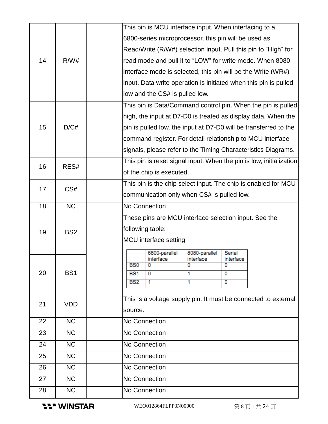|    |                 |                                                              | This pin is MCU interface input. When interfacing to a |                |                |                                                                     |  |
|----|-----------------|--------------------------------------------------------------|--------------------------------------------------------|----------------|----------------|---------------------------------------------------------------------|--|
|    |                 |                                                              | 6800-series microprocessor, this pin will be used as   |                |                |                                                                     |  |
|    |                 |                                                              |                                                        |                |                | Read/Write (R/W#) selection input. Pull this pin to "High" for      |  |
| 14 | R/W#            | read mode and pull it to "LOW" for write mode. When 8080     |                                                        |                |                |                                                                     |  |
|    |                 | interface mode is selected, this pin will be the Write (WR#) |                                                        |                |                |                                                                     |  |
|    |                 |                                                              |                                                        |                |                | input. Data write operation is initiated when this pin is pulled    |  |
|    |                 |                                                              | low and the CS# is pulled low.                         |                |                |                                                                     |  |
|    |                 |                                                              |                                                        |                |                | This pin is Data/Command control pin. When the pin is pulled        |  |
|    |                 |                                                              |                                                        |                |                | high, the input at D7-D0 is treated as display data. When the       |  |
| 15 | D/C#            |                                                              |                                                        |                |                | pin is pulled low, the input at D7-D0 will be transferred to the    |  |
|    |                 |                                                              |                                                        |                |                | command register. For detail relationship to MCU interface          |  |
|    |                 |                                                              |                                                        |                |                | signals, please refer to the Timing Characteristics Diagrams.       |  |
|    |                 |                                                              |                                                        |                |                | This pin is reset signal input. When the pin is low, initialization |  |
| 16 | RES#            |                                                              | of the chip is executed.                               |                |                |                                                                     |  |
|    |                 |                                                              |                                                        |                |                | This pin is the chip select input. The chip is enabled for MCU      |  |
| 17 | CS#             | communication only when CS# is pulled low.                   |                                                        |                |                |                                                                     |  |
| 18 | <b>NC</b>       | No Connection                                                |                                                        |                |                |                                                                     |  |
|    |                 |                                                              | These pins are MCU interface selection input. See the  |                |                |                                                                     |  |
| 19 | BS <sub>2</sub> | following table:                                             |                                                        |                |                |                                                                     |  |
|    |                 |                                                              | <b>MCU</b> interface setting                           |                |                |                                                                     |  |
|    |                 |                                                              | 6800-parallel                                          | 8080-parallel  | Serial         |                                                                     |  |
|    |                 | B <sub>S0</sub>                                              | interface<br>0                                         | interface<br>0 | interface<br>0 |                                                                     |  |
| 20 | BS <sub>1</sub> | <b>BS1</b>                                                   | 0                                                      | 1              | 0              |                                                                     |  |
|    |                 | <b>BS2</b>                                                   | 1                                                      | 1.             | 0              |                                                                     |  |
|    |                 |                                                              |                                                        |                |                | This is a voltage supply pin. It must be connected to external      |  |
| 21 | <b>VDD</b>      | source.                                                      |                                                        |                |                |                                                                     |  |
| 22 | <b>NC</b>       | No Connection                                                |                                                        |                |                |                                                                     |  |
| 23 | <b>NC</b>       | No Connection                                                |                                                        |                |                |                                                                     |  |
|    | <b>NC</b>       |                                                              |                                                        |                |                |                                                                     |  |
| 24 |                 | No Connection                                                |                                                        |                |                |                                                                     |  |
| 25 | <b>NC</b>       | No Connection                                                |                                                        |                |                |                                                                     |  |
| 26 | <b>NC</b>       | No Connection                                                |                                                        |                |                |                                                                     |  |
| 27 | NC              | No Connection                                                |                                                        |                |                |                                                                     |  |
| 28 | <b>NC</b>       | No Connection                                                |                                                        |                |                |                                                                     |  |

**11" WINSTAR**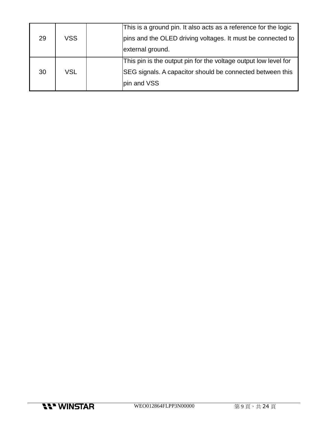|            | This is a ground pin. It also acts as a reference for the logic |
|------------|-----------------------------------------------------------------|
| <b>VSS</b> | pins and the OLED driving voltages. It must be connected to     |
|            | external ground.                                                |
|            | This pin is the output pin for the voltage output low level for |
| VSL        | SEG signals. A capacitor should be connected between this       |
|            | pin and VSS                                                     |
|            |                                                                 |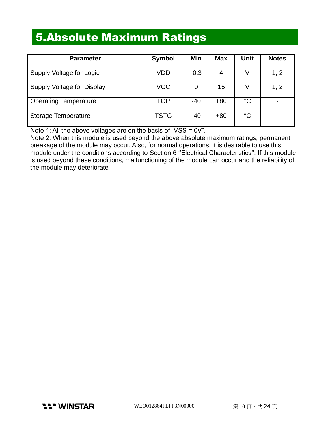### 5.Absolute Maximum Ratings

| <b>Parameter</b>             | <b>Symbol</b> | Min    | <b>Max</b> | Unit            | <b>Notes</b> |
|------------------------------|---------------|--------|------------|-----------------|--------------|
| Supply Voltage for Logic     | VDD           | $-0.3$ | 4          |                 | 1, 2         |
| Supply Voltage for Display   | <b>VCC</b>    | 0      | 15         |                 | 1, 2         |
| <b>Operating Temperature</b> | <b>TOP</b>    | $-40$  | $+80$      | $\rm ^{\circ}C$ |              |
| Storage Temperature          | <b>TSTG</b>   | $-40$  | $+80$      | $\rm ^{\circ}C$ |              |

Note 1: All the above voltages are on the basis of "VSS = 0V".

Note 2: When this module is used beyond the above absolute maximum ratings, permanent breakage of the module may occur. Also, for normal operations, it is desirable to use this module under the conditions according to Section 6 ''Electrical Characteristics''. If this module is used beyond these conditions, malfunctioning of the module can occur and the reliability of the module may deteriorate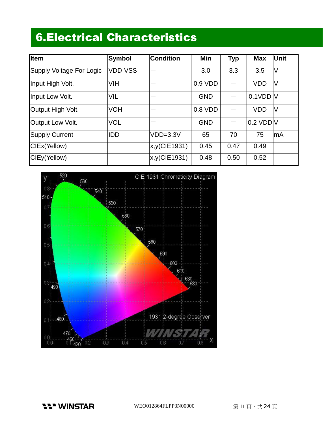## 6.Electrical Characteristics

| <b>Item</b>              | <b>Symbol</b>  | <b>Condition</b> | Min        | <b>Typ</b> | <b>Max</b>  | Unit   |
|--------------------------|----------------|------------------|------------|------------|-------------|--------|
| Supply Voltage For Logic | <b>VDD-VSS</b> |                  | 3.0        | 3.3        | 3.5         | V      |
| Input High Volt.         | <b>VIH</b>     |                  | $0.9$ VDD  |            | <b>VDD</b>  | IV     |
| Input Low Volt.          | <b>VIL</b>     |                  | <b>GND</b> |            | $0.1$ VDD V |        |
| Output High Volt.        | <b>VOH</b>     |                  | $0.8$ VDD  |            | <b>VDD</b>  | $\vee$ |
| Output Low Volt.         | <b>VOL</b>     |                  | <b>GND</b> |            | $0.2$ VDD V |        |
| <b>Supply Current</b>    | <b>IDD</b>     | $VDD=3.3V$       | 65         | 70         | 75          | lmA    |
| CIEx(Yellow)             |                | x,y(CIE1931)     | 0.45       | 0.47       | 0.49        |        |
| CIEy(Yellow)             |                | x,y(CIE1931)     | 0.48       | 0.50       | 0.52        |        |



**11" WINSTAR**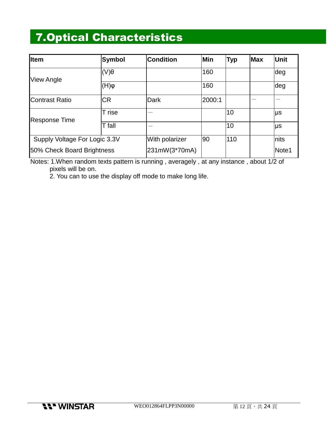## 7.Optical Characteristics

| <b>Item</b>                   | Symbol                     | <b>Condition</b> | <b>Min</b> | <b>Typ</b> | <b>Max</b> | <b>Unit</b> |
|-------------------------------|----------------------------|------------------|------------|------------|------------|-------------|
|                               | $\ket{(\mathsf{V})\theta}$ |                  | 160        |            |            | deg         |
| <b>View Angle</b>             | $\phi(H)$                  |                  | 160        |            |            | deg         |
| <b>IContrast Ratio</b>        | <b>CR</b>                  | <b>Dark</b>      | 2000:1     |            |            |             |
|                               | T rise                     |                  |            | 10         |            | μs          |
| <b>Response Time</b>          | T fall                     |                  |            | 10         |            | Ιμs         |
| Supply Voltage For Logic 3.3V |                            | With polarizer   | 90         | 110        |            | nits        |
| 50% Check Board Brightness    |                            | 231mW(3*70mA)    |            |            |            | Note1       |

Notes: 1.When random texts pattern is running , averagely , at any instance , about 1/2 of pixels will be on.

2. You can to use the display off mode to make long life.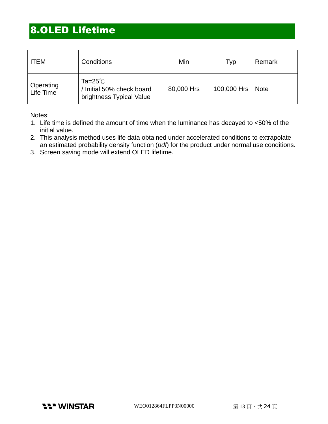### 8.OLED Lifetime

| <b>ITEM</b>            | Conditions                                                          | Min        | Typ         | Remark      |
|------------------------|---------------------------------------------------------------------|------------|-------------|-------------|
| Operating<br>Life Time | Ta=25 $°C$<br>/ Initial 50% check board<br>brightness Typical Value | 80,000 Hrs | 100,000 Hrs | <b>Note</b> |

Notes:

- 1. Life time is defined the amount of time when the luminance has decayed to <50% of the initial value.
- 2. This analysis method uses life data obtained under accelerated conditions to extrapolate an estimated probability density function (*pdf*) for the product under normal use conditions.
- 3. Screen saving mode will extend OLED lifetime.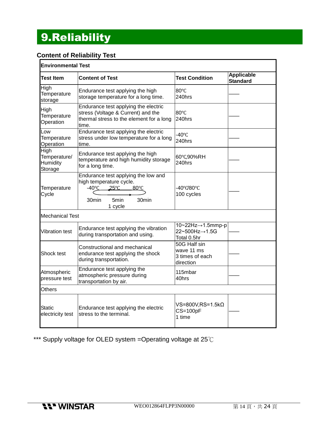# 9.Reliability

### **Content of Reliability Test**

|                                                    | <b>Environmental Test</b>                                                                                                                                  |                                                            |                                      |  |  |  |  |  |
|----------------------------------------------------|------------------------------------------------------------------------------------------------------------------------------------------------------------|------------------------------------------------------------|--------------------------------------|--|--|--|--|--|
| Test Item                                          | <b>Content of Test</b>                                                                                                                                     | <b>Test Condition</b>                                      | <b>Applicable</b><br><b>Standard</b> |  |  |  |  |  |
| High<br>Temperature<br>storage                     | Endurance test applying the high<br>storage temperature for a long time.                                                                                   | 80°C<br>240hrs                                             |                                      |  |  |  |  |  |
| High<br>Temperature<br>Operation                   | Endurance test applying the electric<br>stress (Voltage & Current) and the<br>thermal stress to the element for a long<br>time.                            | 80°C<br>240hrs                                             |                                      |  |  |  |  |  |
| Low<br>Temperature<br>Operation                    | Endurance test applying the electric<br>stress under low temperature for a long<br>time.                                                                   | -40°C<br>240hrs                                            |                                      |  |  |  |  |  |
| <b>High</b><br>Temperature/<br>Humidity<br>Storage | Endurance test applying the high<br>temperature and high humidity storage<br>for a long time.                                                              | 60°C,90%RH<br>240hrs                                       |                                      |  |  |  |  |  |
| Temperature<br>Cycle                               | Endurance test applying the low and<br>high temperature cycle.<br>$-40^{\circ}$ C<br>$25^{\circ}$ C<br>$80^{\circ}$ C<br>30min<br>5min<br>30min<br>1 cycle | -40°0/80°C<br>100 cycles                                   |                                      |  |  |  |  |  |
| <b>Mechanical Test</b>                             |                                                                                                                                                            |                                                            |                                      |  |  |  |  |  |
| <b>Vibration test</b>                              | Endurance test applying the vibration<br>during transportation and using.                                                                                  | 10~22Hz→1.5mmp-p<br>22~500Hz→1.5G<br>Total 0.5hr           |                                      |  |  |  |  |  |
| Shock test                                         | Constructional and mechanical<br>endurance test applying the shock<br>during transportation.                                                               | 50G Half sin<br>wave 11 ms<br>3 times of each<br>direction |                                      |  |  |  |  |  |
| Atmospheric<br>pressure test                       | Endurance test applying the<br>atmospheric pressure during<br>transportation by air.                                                                       | 115mbar<br>40hrs                                           |                                      |  |  |  |  |  |
| Others                                             |                                                                                                                                                            |                                                            |                                      |  |  |  |  |  |
| Static<br>electricity test                         | Endurance test applying the electric<br>stress to the terminal.                                                                                            | VS=800V,RS=1.5kΩ<br>$CS = 100pF$<br>1 time                 |                                      |  |  |  |  |  |

\*\*\* Supply voltage for OLED system =Operating voltage at 25℃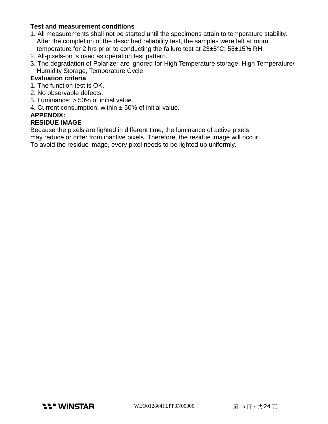#### **Test and measurement conditions**

- 1. All measurements shall not be started until the specimens attain to temperature stability. After the completion of the described reliability test, the samples were left at room temperature for 2 hrs prior to conducting the failure test at 23±5°C; 55±15% RH.
- 2. All-pixels-on is used as operation test pattern.
- 3. The degradation of Polarizer are ignored for High Temperature storage, High Temperature/ Humidity Storage, Temperature Cycle

#### **Evaluation criteria**

- 1. The function test is OK.
- 2. No observable defects.
- 3. Luminance: > 50% of initial value.
- 4. Current consumption: within  $\pm$  50% of initial value.

#### **APPENDIX:**

#### **RESIDUE IMAGE**

Because the pixels are lighted in different time, the luminance of active pixels may reduce or differ from inactive pixels. Therefore, the residue image will occur. To avoid the residue image, every pixel needs to be lighted up uniformly.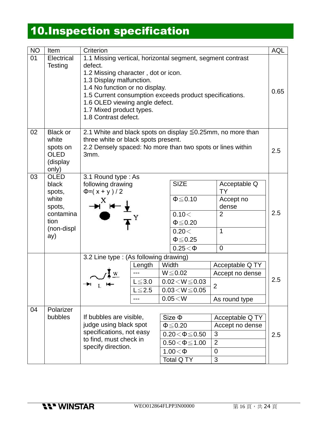# 10.Inspection specification

| <b>NO</b> | Item                                                                                        | Criterion                                                                                                                                                                                                                                                                                                                   |                                   |                                                   | <b>AQL</b>                                                                                                |                                                                             |     |
|-----------|---------------------------------------------------------------------------------------------|-----------------------------------------------------------------------------------------------------------------------------------------------------------------------------------------------------------------------------------------------------------------------------------------------------------------------------|-----------------------------------|---------------------------------------------------|-----------------------------------------------------------------------------------------------------------|-----------------------------------------------------------------------------|-----|
| 01        | Electrical<br>Testing                                                                       | 1.1 Missing vertical, horizontal segment, segment contrast<br>defect.<br>1.2 Missing character, dot or icon.<br>1.3 Display malfunction.<br>1.4 No function or no display.<br>1.5 Current consumption exceeds product specifications.<br>1.6 OLED viewing angle defect.<br>1.7 Mixed product types.<br>1.8 Contrast defect. |                                   |                                                   |                                                                                                           | 0.65                                                                        |     |
| 02        | <b>Black or</b><br>white<br>spots on<br><b>OLED</b><br>(display<br>only)                    | 2.1 White and black spots on display $\leq 0.25$ mm, no more than<br>three white or black spots present.<br>2.2 Densely spaced: No more than two spots or lines within<br>3mm.                                                                                                                                              |                                   |                                                   | 2.5                                                                                                       |                                                                             |     |
| 03        | <b>OLED</b><br>black<br>spots,<br>white<br>spots,<br>contamina<br>tion<br>(non-displ<br>ay) | 3.1 Round type: As<br>following drawing<br>$\Phi = (x + y)/2$                                                                                                                                                                                                                                                               |                                   |                                                   | <b>SIZE</b><br>$\Phi \leq 0.10$<br>0.10<<br>$\Phi \leq 0.20$<br>0.20 <<br>$\Phi \leq 0.25$<br>$0.25<\Phi$ | Acceptable Q<br><b>TY</b><br>Accept no<br>dense<br>$\overline{2}$<br>1<br>0 | 2.5 |
|           |                                                                                             | 3.2 Line type : (As following drawing)                                                                                                                                                                                                                                                                                      |                                   |                                                   |                                                                                                           |                                                                             |     |
|           |                                                                                             |                                                                                                                                                                                                                                                                                                                             | Length                            |                                                   | Width                                                                                                     | Acceptable Q TY                                                             |     |
|           |                                                                                             |                                                                                                                                                                                                                                                                                                                             | $L \le 3.0$<br>$L \le 2.5$<br>--- |                                                   | $W \le 0.02$<br>$0.02\!<\!W\!\leq\!0.03$<br>$0.03 < W \le 0.05$<br>0.05 < W                               | Accept no dense<br>$\overline{2}$<br>As round type                          | 2.5 |
| 04        | Polarizer                                                                                   | If bubbles are visible,<br>judge using black spot                                                                                                                                                                                                                                                                           |                                   |                                                   |                                                                                                           |                                                                             |     |
|           | bubbles                                                                                     |                                                                                                                                                                                                                                                                                                                             |                                   |                                                   | $Size \Phi$                                                                                               | Acceptable Q TY<br>Accept no dense                                          |     |
|           |                                                                                             | specifications, not easy                                                                                                                                                                                                                                                                                                    |                                   | $\Phi \leq 0.20$<br>3<br>$0.20 \le \Phi \le 0.50$ |                                                                                                           | 2.5                                                                         |     |
|           |                                                                                             | to find, must check in                                                                                                                                                                                                                                                                                                      |                                   |                                                   | $0.50 \le \Phi \le 1.00$                                                                                  | $\overline{2}$                                                              |     |
|           |                                                                                             | specify direction.                                                                                                                                                                                                                                                                                                          |                                   |                                                   | $1.00<\Phi$                                                                                               | 0                                                                           |     |
|           |                                                                                             |                                                                                                                                                                                                                                                                                                                             |                                   |                                                   | Total Q TY                                                                                                | $\mathfrak{S}$                                                              |     |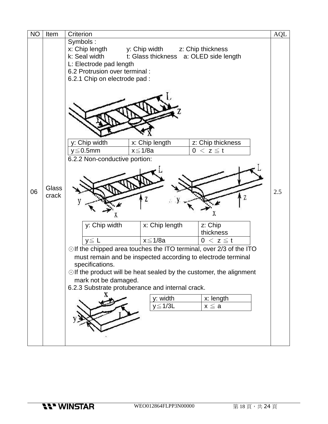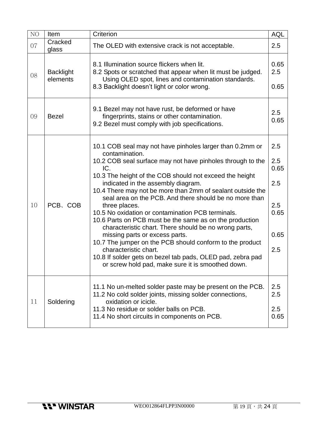| NO | Item                         | Criterion                                                                                                                                                                                                                                                                                                                                                                                                                                                                                                                                                                                                                                                                                                                                                                                                    | <b>AQL</b>                                              |
|----|------------------------------|--------------------------------------------------------------------------------------------------------------------------------------------------------------------------------------------------------------------------------------------------------------------------------------------------------------------------------------------------------------------------------------------------------------------------------------------------------------------------------------------------------------------------------------------------------------------------------------------------------------------------------------------------------------------------------------------------------------------------------------------------------------------------------------------------------------|---------------------------------------------------------|
| 07 | Cracked<br>glass             | The OLED with extensive crack is not acceptable.                                                                                                                                                                                                                                                                                                                                                                                                                                                                                                                                                                                                                                                                                                                                                             | 2.5                                                     |
| 08 | <b>Backlight</b><br>elements | 8.1 Illumination source flickers when lit.<br>8.2 Spots or scratched that appear when lit must be judged.<br>Using OLED spot, lines and contamination standards.<br>8.3 Backlight doesn't light or color wrong.                                                                                                                                                                                                                                                                                                                                                                                                                                                                                                                                                                                              | 0.65<br>2.5<br>0.65                                     |
| 09 | <b>Bezel</b>                 | 9.1 Bezel may not have rust, be deformed or have<br>fingerprints, stains or other contamination.<br>9.2 Bezel must comply with job specifications.                                                                                                                                                                                                                                                                                                                                                                                                                                                                                                                                                                                                                                                           | 2.5<br>0.65                                             |
| 10 | PCB、COB                      | 10.1 COB seal may not have pinholes larger than 0.2mm or<br>contamination.<br>10.2 COB seal surface may not have pinholes through to the<br>IC.<br>10.3 The height of the COB should not exceed the height<br>indicated in the assembly diagram.<br>10.4 There may not be more than 2mm of sealant outside the<br>seal area on the PCB. And there should be no more than<br>three places.<br>10.5 No oxidation or contamination PCB terminals.<br>10.6 Parts on PCB must be the same as on the production<br>characteristic chart. There should be no wrong parts,<br>missing parts or excess parts.<br>10.7 The jumper on the PCB should conform to the product<br>characteristic chart.<br>10.8 If solder gets on bezel tab pads, OLED pad, zebra pad<br>or screw hold pad, make sure it is smoothed down. | 2.5<br>2.5<br>0.65<br>2.5<br>2.5<br>0.65<br>0.65<br>2.5 |
| 11 | Soldering                    | 11.1 No un-melted solder paste may be present on the PCB.<br>11.2 No cold solder joints, missing solder connections,<br>oxidation or icicle.<br>11.3 No residue or solder balls on PCB.<br>11.4 No short circuits in components on PCB.                                                                                                                                                                                                                                                                                                                                                                                                                                                                                                                                                                      | 2.5<br>2.5<br>2.5<br>0.65                               |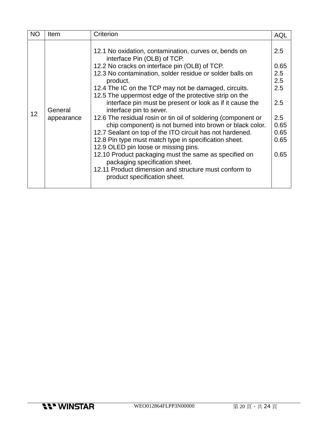| 2.5<br>12.1 No oxidation, contamination, curves or, bends on<br>interface Pin (OLB) of TCP.<br>12.2 No cracks on interface pin (OLB) of TCP.<br>0.65<br>12.3 No contamination, solder residue or solder balls on<br>2.5<br>2.5<br>product.<br>2.5<br>12.4 The IC on the TCP may not be damaged, circuits.<br>12.5 The uppermost edge of the protective strip on the<br>interface pin must be present or look as if it cause the<br>2.5<br>General<br>interface pin to sever.<br>12<br>2.5<br>12.6 The residual rosin or tin oil of soldering (component or<br>appearance<br>0.65<br>chip component) is not burned into brown or black color.<br>12.7 Sealant on top of the ITO circuit has not hardened.<br>0.65 | <b>NO</b> | <b>Item</b> | Criterion                                             | AQL  |
|------------------------------------------------------------------------------------------------------------------------------------------------------------------------------------------------------------------------------------------------------------------------------------------------------------------------------------------------------------------------------------------------------------------------------------------------------------------------------------------------------------------------------------------------------------------------------------------------------------------------------------------------------------------------------------------------------------------|-----------|-------------|-------------------------------------------------------|------|
| 12.9 OLED pin loose or missing pins.<br>12.10 Product packaging must the same as specified on<br>0.65<br>packaging specification sheet.<br>12.11 Product dimension and structure must conform to<br>product specification sheet.                                                                                                                                                                                                                                                                                                                                                                                                                                                                                 |           |             | 12.8 Pin type must match type in specification sheet. | 0.65 |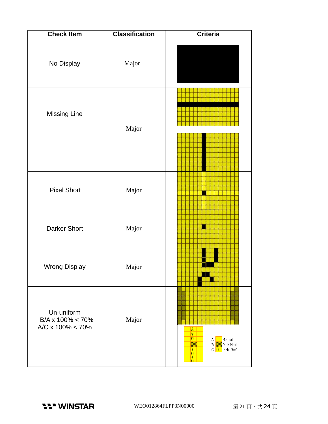| <b>Check Item</b>                                               | <b>Classification</b> | <b>Criteria</b>                                    |
|-----------------------------------------------------------------|-----------------------|----------------------------------------------------|
| No Display                                                      | Major                 |                                                    |
| <b>Missing Line</b>                                             | Major                 |                                                    |
| <b>Pixel Short</b>                                              | Major                 |                                                    |
| <b>Darker Short</b>                                             | Major                 |                                                    |
| <b>Wrong Display</b>                                            | Major                 |                                                    |
| Un-uniform<br>$B/A \times 100\% < 70\%$<br>A/C x $100\% < 70\%$ | Major                 | Normal<br>A<br>Dark Pixel<br>B<br>c<br>Light Pixel |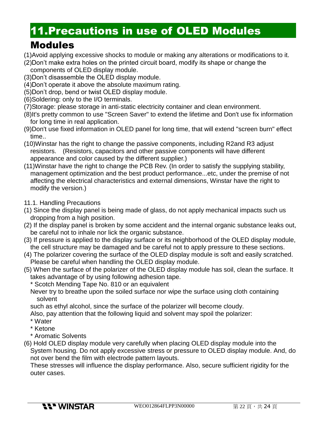### 11.Precautions in use of OLED Modules

### Modules

- (1)Avoid applying excessive shocks to module or making any alterations or modifications to it.
- (2)Don't make extra holes on the printed circuit board, modify its shape or change the components of OLED display module.
- (3)Don't disassemble the OLED display module.
- (4)Don't operate it above the absolute maximum rating.
- (5)Don't drop, bend or twist OLED display module.
- (6)Soldering: only to the I/O terminals.
- (7)Storage: please storage in anti-static electricity container and clean environment.
- (8)It's pretty common to use "Screen Saver" to extend the lifetime and Don't use fix information for long time in real application.
- (9)Don't use fixed information in OLED panel for long time, that will extend "screen burn" effect time..
- (10)Winstar has the right to change the passive components, including R2and R3 adjust resistors. (Resistors, capacitors and other passive components will have different appearance and color caused by the different supplier.)
- (11)Winstar have the right to change the PCB Rev. (In order to satisfy the supplying stability, management optimization and the best product performance...etc, under the premise of not affecting the electrical characteristics and external dimensions, Winstar have the right to modify the version.)
- 11.1. Handling Precautions
- (1) Since the display panel is being made of glass, do not apply mechanical impacts such us dropping from a high position.
- (2) If the display panel is broken by some accident and the internal organic substance leaks out, be careful not to inhale nor lick the organic substance.
- (3) If pressure is applied to the display surface or its neighborhood of the OLED display module, the cell structure may be damaged and be careful not to apply pressure to these sections.
- (4) The polarizer covering the surface of the OLED display module is soft and easily scratched. Please be careful when handling the OLED display module.
- (5) When the surface of the polarizer of the OLED display module has soil, clean the surface. It takes advantage of by using following adhesion tape.
	- \* Scotch Mending Tape No. 810 or an equivalent
	- Never try to breathe upon the soiled surface nor wipe the surface using cloth containing solvent
	- such as ethyl alcohol, since the surface of the polarizer will become cloudy.
	- Also, pay attention that the following liquid and solvent may spoil the polarizer:
	- \* Water
	- \* Ketone
	- \* Aromatic Solvents
- (6) Hold OLED display module very carefully when placing OLED display module into the System housing. Do not apply excessive stress or pressure to OLED display module. And, do not over bend the film with electrode pattern layouts.

These stresses will influence the display performance. Also, secure sufficient rigidity for the outer cases.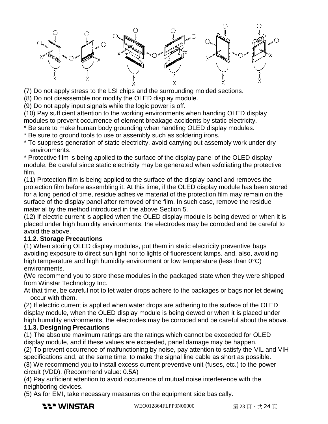

(7) Do not apply stress to the LSI chips and the surrounding molded sections.

(8) Do not disassemble nor modify the OLED display module.

(9) Do not apply input signals while the logic power is off.

(10) Pay sufficient attention to the working environments when handing OLED display modules to prevent occurrence of element breakage accidents by static electricity.

- \* Be sure to make human body grounding when handling OLED display modules.
- \* Be sure to ground tools to use or assembly such as soldering irons.
- \* To suppress generation of static electricity, avoid carrying out assembly work under dry environments.

\* Protective film is being applied to the surface of the display panel of the OLED display module. Be careful since static electricity may be generated when exfoliating the protective film.

(11) Protection film is being applied to the surface of the display panel and removes the protection film before assembling it. At this time, if the OLED display module has been stored for a long period of time, residue adhesive material of the protection film may remain on the surface of the display panel after removed of the film. In such case, remove the residue material by the method introduced in the above Section 5.

(12) If electric current is applied when the OLED display module is being dewed or when it is placed under high humidity environments, the electrodes may be corroded and be careful to avoid the above.

#### **11.2. Storage Precautions**

(1) When storing OLED display modules, put them in static electricity preventive bags avoiding exposure to direct sun light nor to lights of fluorescent lamps. and, also, avoiding high temperature and high humidity environment or low temperature (less than 0°C) environments.

(We recommend you to store these modules in the packaged state when they were shipped from Winstar Technology Inc.

At that time, be careful not to let water drops adhere to the packages or bags nor let dewing occur with them.

(2) If electric current is applied when water drops are adhering to the surface of the OLED display module, when the OLED display module is being dewed or when it is placed under high humidity environments, the electrodes may be corroded and be careful about the above.

#### **11.3. Designing Precautions**

(1) The absolute maximum ratings are the ratings which cannot be exceeded for OLED display module, and if these values are exceeded, panel damage may be happen.

(2) To prevent occurrence of malfunctioning by noise, pay attention to satisfy the VIL and VIH specifications and, at the same time, to make the signal line cable as short as possible.

(3) We recommend you to install excess current preventive unit (fuses, etc.) to the power circuit (VDD). (Recommend value: 0.5A)

(4) Pay sufficient attention to avoid occurrence of mutual noise interference with the neighboring devices.

(5) As for EMI, take necessary measures on the equipment side basically.